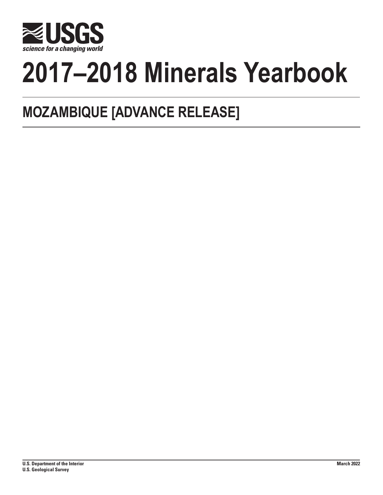

# **2017–2018 Minerals Yearbook**

## **MOZAMBIQUE [ADVANCE RELEASE]**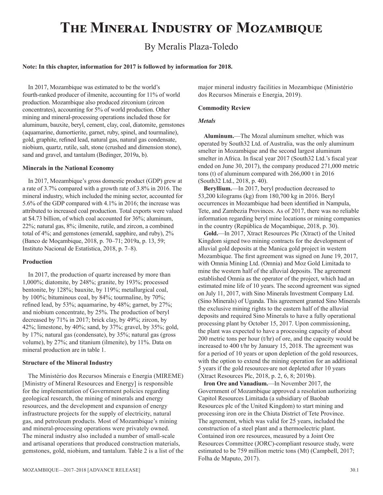## **The Mineral Industry of Mozambique**

### By Meralis Plaza-Toledo

#### **Note: In this chapter, information for 2017 is followed by information for 2018.**

In 2017, Mozambique was estimated to be the world's fourth-ranked producer of ilmenite, accounting for 11% of world production. Mozambique also produced zirconium (zircon concentrates), accounting for 5% of world production. Other mining and mineral-processing operations included those for aluminum, bauxite, beryl, cement, clay, coal, diatomite, gemstones (aquamarine, dumortierite, garnet, ruby, spinel, and tourmaline), gold, graphite, refined lead, natural gas, natural gas condensate, niobium, quartz, rutile, salt, stone (crushed and dimension stone), sand and gravel, and tantalum (Bedinger, 2019a, b).

#### **Minerals in the National Economy**

In 2017, Mozambique's gross domestic product (GDP) grew at a rate of 3.7% compared with a growth rate of 3.8% in 2016. The mineral industry, which included the mining sector, accounted for 5.6% of the GDP compared with 4.1% in 2016; the increase was attributed to increased coal production. Total exports were valued at \$4.73 billion, of which coal accounted for 36%; aluminum, 22%; natural gas, 8%; ilmenite, rutile, and zircon, a combined total of 4%; and gemstones (emerald, sapphire, and ruby), 2% (Banco de Moçambique, 2018, p. 70–71; 2019a, p. 13, 59; Instituto Nacional de Estatística, 2018, p. 7–8).

#### **Production**

In 2017, the production of quartz increased by more than 1,000%; diatomite, by 248%; granite, by 193%; processed bentonite, by 128%; bauxite, by 119%; metallurgical coal, by 100%; bituminous coal, by 84%; tourmaline, by 70%; refined lead, by 53%; aquamarine, by 48%; garnet, by 27%; and niobium concentrate, by 25%. The production of beryl decreased by 71% in 2017; brick clay, by 49%; zircon, by 42%; limestone, by 40%; sand, by 37%; gravel, by 35%; gold, by 17%; natural gas (condensate), by 35%; natural gas (gross volume), by 27%; and titanium (ilmenite), by 11%. Data on mineral production are in table 1.

#### **Structure of the Mineral Industry**

The Ministério dos Recursos Minerais e Energia (MIREME) [Ministry of Mineral Resources and Energy] is responsible for the implementation of Government policies regarding geological research, the mining of minerals and energy resources, and the development and expansion of energy infrastructure projects for the supply of electricity, natural gas, and petroleum products. Most of Mozambique's mining and mineral-processing operations were privately owned. The mineral industry also included a number of small-scale and artisanal operations that produced construction materials, gemstones, gold, niobium, and tantalum. Table 2 is a list of the

mozambique—2017–2018 [ADVANCE RELEASE] 30.1

major mineral industry facilities in Mozambique (Ministério dos Recursos Minerais e Energia, 2019).

#### **Commodity Review**

#### *Metals*

**Aluminum.**—The Mozal aluminum smelter, which was operated by South32 Ltd. of Australia, was the only aluminum smelter in Mozambique and the second largest aluminum smelter in Africa. In fiscal year 2017 (South32 Ltd.'s fiscal year ended on June 30, 2017), the company produced 271,000 metric tons (t) of aluminum compared with 266,000 t in 2016 (South32 Ltd., 2018, p. 40).

**Beryllium.**—In 2017, beryl production decreased to 53,200 kilograms (kg) from 180,700 kg in 2016. Beryl occurrences in Mozambique had been identified in Nampula, Tete, and Zambezia Provinces. As of 2017, there was no reliable information regarding beryl mine locations or mining companies in the country (República de Moçambique, 2018, p. 30).

**Gold.**—In 2017, Xtract Resources Plc (Xtract) of the United Kingdom signed two mining contracts for the development of alluvial gold deposits at the Manica gold project in western Mozambique. The first agreement was signed on June 19, 2017, with Omnia Mining Ltd. (Omnia) and Moz Gold Limitada to mine the western half of the alluvial deposits. The agreement established Omnia as the operator of the project, which had an estimated mine life of 10 years. The second agreement was signed on July 11, 2017, with Sino Minerals Investment Company Ltd. (Sino Minerals) of Uganda. This agreement granted Sino Minerals the exclusive mining rights to the eastern half of the alluvial deposits and required Sino Minerals to have a fully operational processing plant by October 15, 2017. Upon commissioning, the plant was expected to have a processing capacity of about 200 metric tons per hour (t/hr) of ore, and the capacity would be increased to 400 t/hr by January 15, 2018. The agreement was for a period of 10 years or upon depletion of the gold resources, with the option to extend the mining operation for an additional 5 years if the gold resources are not depleted after 10 years (Xtract Resources Plc, 2018, p. 2, 6, 8; 2019b).

**Iron Ore and Vanadium.**—In November 2017, the Government of Mozambique approved a resolution authorizing Capitol Resources Limitada (a subsidiary of Baobab Resources plc of the United Kingdom) to start mining and processing iron ore in the Chiuta District of Tete Province. The agreement, which was valid for 25 years, included the construction of a steel plant and a thermoelectric plant. Contained iron ore resources, measured by a Joint Ore Resources Committee (JORC)-compliant resource study, were estimated to be 759 million metric tons (Mt) (Campbell, 2017; Folha de Maputo, 2017).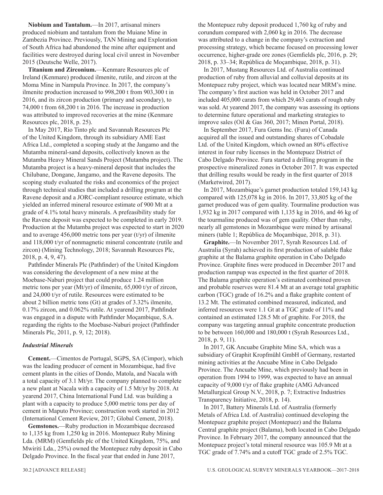**Niobium and Tantalum.**—In 2017, artisanal miners produced niobium and tantalum from the Muiane Mine in Zambezia Province. Previously, TAN Mining and Exploration of South Africa had abandoned the mine after equipment and facilities were destroyed during local civil unrest in November 2015 (Deutsche Welle, 2017).

**Titanium and Zirconium.**—Kenmare Resources plc of Ireland (Kenmare) produced ilmenite, rutile, and zircon at the Moma Mine in Nampula Province. In 2017, the company's ilmenite production increased to 998,200 t from 903,300 t in 2016, and its zircon production (primary and secondary), to 74,000 t from 68,200 t in 2016. The increase in production was attributed to improved recoveries at the mine (Kenmare Resources plc, 2018, p. 25).

In May 2017, Rio Tinto plc and Savannah Resources Plc of the United Kingdom, through its subsidiary AME East Africa Ltd., completed a scoping study at the Jangamo and the Mutamba mineral-sand deposits, collectively known as the Mutamba Heavy Mineral Sands Project (Mutamba project). The Mutamba project is a heavy-mineral deposit that includes the Chilubane, Dongane, Jangamo, and the Ravene deposits. The scoping study evaluated the risks and economics of the project through technical studies that included a drilling program at the Ravene deposit and a JORC-compliant resource estimate, which yielded an inferred mineral resource estimate of 900 Mt at a grade of 4.1% total heavy minerals. A prefeasibility study for the Ravene deposit was expected to be completed in early 2019. Production at the Mutamba project was expected to start in 2020 and to average  $456,000$  metric tons per year (t/yr) of ilmenite and 118,000 t/yr of nonmagnetic mineral concentrate (rutile and zircon) (Mining Technology, 2018; Savannah Resources Plc, 2018, p. 4, 9, 47).

Pathfinder Minerals Plc (Pathfinder) of the United Kingdom was considering the development of a new mine at the Moebase-Naburi project that could produce 1.24 million metric tons per year (Mt/yr) of ilmenite, 65,000 t/yr of zircon, and 24,000 t/yr of rutile. Resources were estimated to be about 2 billion metric tons (Gt) at grades of 3.32% ilmenite, 0.17% zircon, and 0.062% rutile. At yearend 2017, Pathfinder was engaged in a dispute with Pathfinder Moçambique, S.A. regarding the rights to the Moebase-Naburi project (Pathfinder Minerals Plc, 2011, p. 9, 12; 2018).

#### *Industrial Minerals*

**Cement.**—Cimentos de Portugal, SGPS, SA (Cimpor), which was the leading producer of cement in Mozambique, had five cement plants in the cities of Dondo, Matola, and Nacala with a total capacity of 3.1 Mt/yr. The company planned to complete a new plant at Nacala with a capacity of 1.5 Mt/yr by 2018. At yearend 2017, China International Fund Ltd. was building a plant with a capacity to produce 5,000 metric tons per day of cement in Maputo Province; construction work started in 2012 (International Cement Review, 2017; Global Cement, 2018).

**Gemstones.**—Ruby production in Mozambique decreased to 1,135 kg from 1,250 kg in 2016. Montepuez Ruby Mining Lda. (MRM) (Gemfields plc of the United Kingdom, 75%, and Mwiriti Lda., 25%) owned the Montepuez ruby deposit in Cabo Delgado Province. In the fiscal year that ended in June 2017,

the Montepuez ruby deposit produced 1,760 kg of ruby and corundum compared with 2,060 kg in 2016. The decrease was attributed to a change in the company's extraction and processing strategy, which became focused on processing lower occurrence, higher-grade ore zones (Gemfields plc, 2016, p. 29; 2018, p. 33–34; República de Moçambique, 2018, p. 31).

In 2017, Mustang Resources Ltd. of Australia continued production of ruby from alluvial and colluvial deposits at its Montepuez ruby project, which was located near MRM's mine. The company's first auction was held in October 2017 and included 405,000 carats from which 29,463 carats of rough ruby was sold. At yearend 2017, the company was assessing its options to determine future operational and marketing strategies to improve sales (Oil & Gas 360, 2017; Minen Portal, 2018).

In September 2017, Fura Gems Inc. (Fura) of Canada acquired all the issued and outstanding shares of Cobadale Ltd. of the United Kingdom, which owned an 80% effective interest in four ruby licenses in the Montepuez District of Cabo Delgado Province. Fura started a drilling program in the prospective mineralized zones in October 2017. It was expected that drilling results would be ready in the first quarter of 2018 (Marketwired, 2017).

In 2017, Mozambique's garnet production totaled 159,143 kg compared with 125,078 kg in 2016. In 2017, 33,805 kg of the garnet produced was of gem quality. Tourmaline production was 1,932 kg in 2017 compared with 1,135 kg in 2016, and 46 kg of the tourmaline produced was of gem quality. Other than ruby, nearly all gemstones in Mozambique were mined by artisanal miners (table 1; República de Moçambique, 2018, p. 31).

**Graphite.**—In November 2017, Syrah Resources Ltd. of Australia (Syrah) achieved its first production of salable flake graphite at the Balama graphite operation in Cabo Delgado Province. Graphite fines were produced in December 2017 and production rampup was expected in the first quarter of 2018. The Balama graphite operation's estimated combined proven and probable reserves were 81.4 Mt at an average total graphitic carbon (TGC) grade of 16.2% and a flake graphite content of 13.2 Mt. The estimated combined measured, indicated, and inferred resources were 1.1 Gt at a TGC grade of 11% and contained an estimated 128.5 Mt of graphite. For 2018, the company was targeting annual graphite concentrate production to be between 160,000 and 180,000 t (Syrah Resources Ltd., 2018, p. 9, 11).

In 2017, GK Ancuabe Graphite Mine SA, which was a subsidiary of Graphit Kropfmühl GmbH of Germany, restarted mining activities at the Ancuabe Mine in Cabo Delgado Province. The Ancuabe Mine, which previously had been in operation from 1994 to 1999, was expected to have an annual capacity of 9,000 t/yr of flake graphite (AMG Advanced Metallurgical Group N.V., 2018, p. 7; Extractive Industries Transparency Initiative, 2018, p. 14).

In 2017, Battery Minerals Ltd. of Australia (formerly Metals of Africa Ltd. of Australia) continued developing the Montepuez graphite project (Montepuez) and the Balama Central graphite project (Balama), both located in Cabo Delgado Province. In February 2017, the company announced that the Montepuez project's total mineral resource was 105.9 Mt at a TGC grade of 7.74% and a cutoff TGC grade of 2.5% TGC.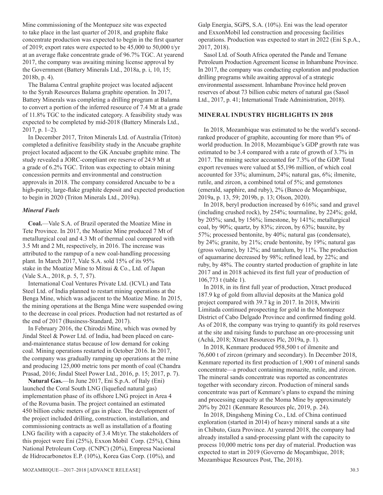Mine commissioning of the Montepuez site was expected to take place in the last quarter of 2018, and graphite flake concentrate production was expected to begin in the first quarter of 2019; export rates were expected to be 45,000 to 50,000 t/yr at an average flake concentrate grade of 96.7% TGC. At yearend 2017, the company was awaiting mining license approval by the Government (Battery Minerals Ltd., 2018a, p. i, 10, 15; 2018b, p. 4).

The Balama Central graphite project was located adjacent to the Syrah Resources Balama graphite operation. In 2017, Battery Minerals was completing a drilling program at Balama to convert a portion of the inferred resource of 7.4 Mt at a grade of 11.8% TGC to the indicated category. A feasibility study was expected to be completed by mid-2018 (Battery Minerals Ltd., 2017, p. 1–2).

In December 2017, Triton Minerals Ltd. of Australia (Triton) completed a definitive feasibility study in the Ancuabe graphite project located adjacent to the GK Ancuabe graphite mine. The study revealed a JORC-compliant ore reserve of 24.9 Mt at a grade of 6.2% TGC. Triton was expecting to obtain mining concession permits and environmental and construction approvals in 2018. The company considered Ancuabe to be a high-purity, large-flake graphite deposit and expected production to begin in 2020 (Triton Minerals Ltd., 2019a).

#### *Mineral Fuels*

**Coal.**—Vale S.A. of Brazil operated the Moatize Mine in Tete Province. In 2017, the Moatize Mine produced 7 Mt of metallurgical coal and 4.3 Mt of thermal coal compared with 3.5 Mt and 2 Mt, respectively, in 2016. The increase was attributed to the rampup of a new coal-handling processing plant. In March 2017, Vale S.A. sold 15% of its 95% stake in the Moatize Mine to Mitsui & Co., Ltd. of Japan (Vale S.A., 2018, p. 5, 7, 57).

International Coal Ventures Private Ltd. (ICVL) and Tata Steel Ltd. of India planned to restart mining operations at the Benga Mine, which was adjacent to the Moatize Mine. In 2015, the mining operations at the Benga Mine were suspended owing to the decrease in coal prices. Production had not restarted as of the end of 2017 (Business-Standard, 2017).

In February 2016, the Chirodzi Mine, which was owned by Jindal Steel & Power Ltd. of India, had been placed on careand-maintenance status because of low demand for coking coal. Mining operations restarted in October 2016. In 2017, the company was gradually ramping up operations at the mine and producing 125,000 metric tons per month of coal (Chandra Prasad, 2016; Jindal Steel Power Ltd., 2016, p. 15; 2017, p. 7).

**Natural Gas.**—In June 2017, Eni S.p.A. of Italy (Eni) launched the Coral South LNG (liquefied natural gas) implementation phase of its offshore LNG project in Area 4 of the Rovuma basin. The project contained an estimated 450 billion cubic meters of gas in place. The development of the project included drilling, construction, installation, and commissioning contracts as well as installation of a floating LNG facility with a capacity of 3.4 Mt/yr. The stakeholders of this project were Eni (25%), Exxon Mobil Corp. (25%), China National Petroleum Corp. (CNPC) (20%), Empresa Nacional de Hidrocarbonetos E.P. (10%), Korea Gas Corp. (10%), and

Galp Energia, SGPS, S.A. (10%). Eni was the lead operator and ExxonMobil led construction and processing facilities operations. Production was expected to start in 2022 (Eni S.p.A., 2017, 2018).

Sasol Ltd. of South Africa operated the Pande and Temane Petroleum Production Agreement license in Inhambane Province. In 2017, the company was conducting exploration and production drilling programs while awaiting approval of a strategic environmental assessment. Inhambane Province held proven reserves of about 73 billion cubic meters of natural gas (Sasol Ltd., 2017, p. 41; International Trade Administration, 2018).

#### **MINERAL INDUSTRY HIGHLIGHTS IN 2018**

In 2018, Mozambique was estimated to be the world's secondranked producer of graphite, accounting for more than 9% of world production. In 2018, Mozambique's GDP growth rate was estimated to be 3.4 compared with a rate of growth of 3.7% in 2017. The mining sector accounted for 7.3% of the GDP. Total export revenues were valued at \$5,196 million, of which coal accounted for 33%; aluminum, 24%; natural gas, 6%; ilmenite, rutile, and zircon, a combined total of 5%; and gemstones (emerald, sapphire, and ruby), 2% (Banco de Moçambique, 2019a, p. 13, 59; 2019b, p. 13; Olson, 2020).

In 2018, beryl production increased by 616%; sand and gravel (including crushed rock), by 254%; tourmaline, by 224%; gold, by 205%; sand, by 156%; limestone, by 141%; metallurgical coal, by 90%; quartz, by 83%; zircon, by 63%; bauxite, by 57%; processed bentonite, by 40%; natural gas (condensate), by 24%; granite, by 21%; crude bentonite, by 19%; natural gas (gross volume), by 12%; and tantalum, by 11%. The production of aquamarine decreased by 98%; refined lead, by 22%; and ruby, by 48%. The country started production of graphite in late 2017 and in 2018 achieved its first full year of production of 106,773 t (table 1).

In 2018, in its first full year of production, Xtract produced 187.9 kg of gold from alluvial deposits at the Manica gold project compared with 39.7 kg in 2017. In 2018, Mwiriti Limitada continued prospecting for gold in the Montepuez District of Cabo Delgado Province and confirmed finding gold. As of 2018, the company was trying to quantify its gold reserves at the site and raising funds to purchase an ore-processing unit (Achá, 2018; Xtract Resources Plc, 2019a, p. 1).

In 2018, Kenmare produced 958,500 t of ilmenite and 76,600 t of zircon (primary and secondary). In December 2018, Kenmare reported its first production of 1,900 t of mineral sands concentrate—a product containing monazite, rutile, and zircon. The mineral sands concentrate was reported as concentrates together with secondary zircon. Production of mineral sands concentrate was part of Kenmare's plans to expand the mining and processing capacity at the Moma Mine by approximately 20% by 2021 (Kenmare Resources plc, 2019, p. 24).

In 2018, Dingsheng Mining Co., Ltd. of China continued exploration (started in 2014) of heavy mineral sands at a site in Chibuto, Gaza Province. At yearend 2018, the company had already installed a sand-processing plant with the capacity to process 10,000 metric tons per day of material. Production was expected to start in 2019 (Governo de Moçambique, 2018; Mozambique Resources Post, The, 2018).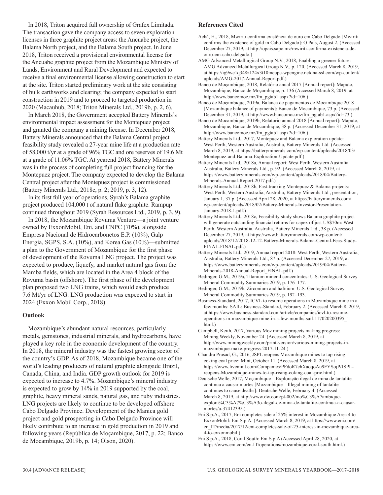In 2018, Triton acquired full ownership of Grafex Limitada. The transaction gave the company access to seven exploration licenses in three graphite project areas: the Ancuabe project, the Balama North project, and the Balama South project. In June 2018, Triton received a provisional environmental license for the Ancuabe graphite project from the Mozambique Ministry of Lands, Environment and Rural Development and expected to receive a final environmental license allowing construction to start at the site. Triton started preliminary work at the site consisting of bulk earthworks and clearing; the company expected to start construction in 2019 and to proceed to targeted production in 2020 (Macauhub, 2018; Triton Minerals Ltd., 2019b, p. 2, 6).

In March 2018, the Government accepted Battery Minerals's environmental impact assessment for the Montepuez project and granted the company a mining license. In December 2018, Battery Minerals announced that the Balama Central project feasibility study revealed a 27-year mine life at a production rate of 58,000 t/yr at a grade of 96% TGC and ore reserves of 19.6 Mt at a grade of 11.06% TGC. At yearend 2018, Battery Minerals was in the process of completing full project financing for the Montepuez project. The company expected to develop the Balama Central project after the Montepuez project is commissioned (Battery Minerals Ltd., 2018c, p. 2; 2019, p. 3, 12).

In its first full year of operations, Syrah's Balama graphite project produced 104,000 t of natural flake graphite. Rampup continued throughout 2019 (Syrah Resources Ltd., 2019, p. 3, 9).

In 2018, the Mozambique Rovuma Venture—a joint venture owned by ExxonMobil, Eni, and CNPC (70%), alongside Empresa Nacional de Hidrocarbonetos E.P. (10%), Galp Energia, SGPS, S.A. (10%), and Korea Gas (10%)—submitted a plan to the Government of Mozambique for the first phase of development of the Rovuma LNG project. The project was expected to produce, liquefy, and market natural gas from the Mamba fields, which are located in the Area 4 block of the Rovuma basin (offshore). The first phase of the development plan proposed two LNG trains, which would each produce 7.6 Mt/yr of LNG. LNG production was expected to start in 2024 (Exxon Mobil Corp., 2018).

#### **Outlook**

Mozambique's abundant natural resources, particularly metals, gemstones, industrial minerals, and hydrocarbons, have played a key role in the economic development of the country. In 2018, the mineral industry was the fastest growing sector of the country's GDP. As of 2018, Mozambique became one of the world's leading producers of natural graphite alongside Brazil, Canada, China, and India. GDP growth outlook for 2019 is expected to increase to 4.7%. Mozambique's mineral industry is expected to grow by 14% in 2019 supported by the coal, graphite, heavy mineral sands, natural gas, and ruby industries. LNG projects are likely to continue to be developed offshore Cabo Delgado Province. Development of the Manica gold project and gold prospecting in Cabo Delgado Province will likely contribute to an increase in gold production in 2019 and following years (República de Moçambique, 2017, p. 22; Banco de Mocambique, 2019b, p. 14; Olson, 2020).

#### **References Cited**

- Achá, H., 2018, Mwiriti confirma existência de ouro em Cabo Delgado [Mwiriti confirms the existence of gold in Cabo Delgado]: O País, August 2. (Accessed December 27, 2019, at http://opais.sapo.mz/mwiriti-confirma-existencia-deouro-em-cabo-delgado.)
- AMG Advanced Metallurgical Group N.V., 2018, Enabling a greener future: AMG Advanced Metallurgical Group N.V., p. 120. (Accessed March 8, 2019, at https://ig9we1q348z124x3t10meupc-wpengine.netdna-ssl.com/wp-content/ uploads/AMG-2017-Annual-Report.pdf.)
- Banco de Moçambique, 2018, Relatório anual 2017 [Annual report]: Maputo, Mozambique, Banco de Moçambique, p. 136 (Accessed March 8, 2019, at http://www.bancomoc.mz/fm\_pgtab1.aspx?id=106.)

Banco de Moçambique, 2019a, Balanca de pagamentos de Mocambique 2018 [Mozambique balance of payments]: Banco de Mocambique, 73 p. (Accessed December 31, 2019, at http://www.bancomoc.mz/fm\_pgtab1.aspx?id=73.)

- Banco de Mocambique, 2019b, Relatorio annual 2018 [Annual report]: Maputo, Mozambique, Banco de Mocambique, 38 p. (Accessed December 31, 2019, at http://www.bancomoc.mz/fm\_pgtab1.aspx?id=106.)
- Battery Minerals Ltd., 2017, Montepuez and Balama exploration update: West Perth, Western Australia, Australia, Battery Minerals Ltd. (Accessed March 8, 2019, at https://batteryminerals.com/wp-content/uploads/2018/03/ Montepuez-and-Balama-Exploration-Update.pdf.)
- Battery Minerals Ltd., 2018a, Annual report: West Perth, Western Australia, Australia, Battery Minerals Ltd., p. 92. (Accessed March 8, 2019, at https://www.batteryminerals.com/wp-content/uploads/2018/04/Battery-Minerals-Annual-Report-2017.pdf.)
- Battery Minerals Ltd., 2018b, Fast-tracking Montepuez & Balama projects: West Perth, Western Australia, Australia, Battery Minerals Ltd., presentation, January 1, 37 p. (Accessed April 28, 2020, at https://batteryminerals.com/ wp-content/uploads/2018/02/Battery-Minerals-Investor-Presentation-January-2018-1.pdf.)
- Battery Minerals Ltd., 2018c, Feasibility study shows Balama graphite project will generate outstanding financial returns for capex of just US\$70m: West Perth, Western Australia, Australia, Battery Minerals Ltd., 38 p. (Accessed December 27, 2019, at https://www.batteryminerals.com/wp-content/ uploads/2018/12/2018-12-12-Battery-Minerals-Balama-Central-Feas-Study-FINAL-FINAL.pdf.)
- Battery Minerals Ltd., 2019, Annual report 2018: West Perth, Western Australia, Australia, Battery Minerals Ltd., 87 p. (Accessed December 27, 2019, at https://www.batteryminerals.com/wp-content/uploads/2019/04/Battery-Minerals-2018-Annual-Report\_FINAL.pdf.)
- Bedinger, G.M., 2019a, Titanium mineral concentrates: U.S. Geological Survey Mineral Commodity Summaries 2019, p. 176–177.
- Bedinger, G.M., 2019b, Zirconium and hafnium: U.S. Geological Survey Mineral Commodity Summaries 2019, p. 192–193.
- Business-Standard, 2017, ICVL to resume operations in Mozambique mine in a few months: SAIL: Business-Standard, February 2. (Accessed March 8, 2019, at https://www.business-standard.com/article/companies/icvl-to-resumeoperations-in-mozambique-mine-in-a-few-months-sail-117020200395\_1. html.)
- Campbell, Keith, 2017, Various Moz mining projects making progress: Mining Weekly, November 24. (Accessed March 8, 2019, at http://www.miningweekly.com/print-version/various-mining-projects-inmozambique-make-progress-2017-11-24.)
- Chandra Prasad, G., 2016, JSPL reopens Mozambique mines to tap rising coking coal price: Mint, October 11. (Accessed March 8, 2019, at https://www.livemint.com/Companies/PFdoR7chXaoqoAu9FYSojP/JSPLreopens-Mozambique-mines-to-tap-rising-coking-coal-pric.html.)
- Deutsche Welle, 2017, Moçambique—Exploração ilegal de mina de tantalite continua a causar mortes [Mozambique—Illegal mining of tantalite continues to cause deaths]: Deutsche Welle, February 4. (Accessed March 8, 2019, at http://www.dw.com/pt-002/mo%C3%A7ambiqueexplora%C3%A7%C3%A3o-ilegal-de-mina-de-tantalite-continua-a-causarmortes/a-37412395.)
- Eni S.p.A., 2017, Eni completes sale of 25% interest in Mozambique Area 4 to ExxonMobil: Eni S.p.A. (Accessed March 8, 2019, at https://www.eni.com/ en\_IT/media/2017/12/eni-completes-sale-of-25-interest-in-mozambique-area-4-to-exxonmobil.)
- Eni S.p.A., 2018, Coral South: Eni S.p.A (Accessed April 28, 2020, at https://www.eni.com/en-IT/operations/mozambique-coral-south.html.)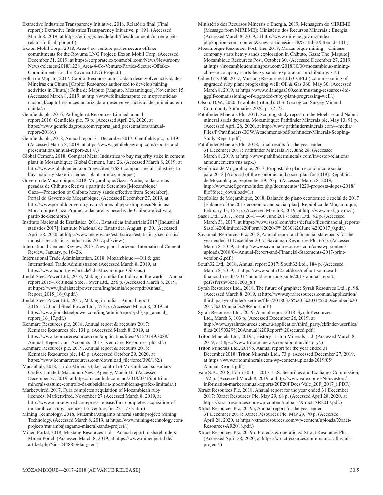Extractive Industries Transparency Initiative, 2018, Relatório final [Final report]: Extractive Industries Transparency Initiative, p. 191. (Accessed March 8, 2019, at https://eiti.org/sites/default/files/documents/mireme\_eiti\_ relatorio\_final\_por.pdf.)

Exxon Mobil Corp., 2018, Area 4 co-venture parties secure offtake commitments for the Rovuma LNG Project: Exxon Mobil Corp. (Accessed December 31, 2019, at https://corporate.exxonmobil.com/News/Newsroom/ News-releases/2018/1228\_Area-4-Co-Venture-Parties-Secure-Offtake-Commitments-for-the-Rovuma-LNG-Project.)

Folha de Maputo, 2017, Capitol Resouces autorizada a desenvolver actividades Mineiras em Chiúta [Capitol Resources authorized to develop mining activities in Chiúta]: Folha de Maputo [Maputo, Mozambique], November 15. (Accessed March 8, 2019, at http://www.folhademaputo.co.mz/pt/noticias/ nacional/capitol-resouces-autorizada-a-desenvolver-actividades-mineiras-emchiuta/.)

Gemfields plc, 2016, Pallinghurst Resources Limited annual report 2016: Gemfields plc, 79 p. (Accessed April 28, 2020, at https://www.gemfieldsgroup.com/reports\_and\_presentations/annualreport-2016/.)

Gemfields plc, 2018, Annual report 31 December 2017: Gemfields plc, p. 149. (Accessed March 8, 2019, at https://www.gemfieldsgroup.com/reports\_and\_ presentations/annual-report-2017/.)

Global Cement, 2018, Compact Metal Industries to buy majority stake in cement plant in Mozambique: Global Cement, June 26. (Accessed March 8, 2019, at http://www.globalcement.com/news/item/7683-compact-metal-industries-tobuy-majority-stake-in-cement-plant-in-mozambique.)

Governo de Moçambique, 2018, Moçambique/Gaza: Produção das areias pesadas de Chibuto efectiva a partir de Setembro [Mozambique/ Gaza—Production of Chibuto heavy sands effective from September]: Portal do Governo de Moçambique. (Accessed December 27, 2019, at http://www.portaldogoverno.gov.mz/index.php/por/Imprensa/Noticias/ Mocambique-Gaza-Producao-das-areias-pesadas-de-Chibuto-efectiva-apartir-de-Setembro.)

Instituto Nacional de Estatística, 2018, Estatísticas industriais 2017 [Industrial statistics 2017]: Instituto Nacional de Estatistica, August, p. 30. (Accessed April 28, 2020, at http://www.ine.gov.mz/estatisticas/estatisticas-sectoriais/ industria/estatisticas-industriais-2017.pdf/view.)

International Cement Review, 2017, New plant horizons: International Cement Review, January, p. 16–26.

International Trade Administration, 2018, Mozambique —Oil & gas: International Trade Administration (Accessed March 8, 2019, at https://www.export.gov/article?id=Mozambique-Oil-Gas.)

Jindal Steel Power Ltd., 2016, Making in India for India and the world—Annual report 2015–16: Jindal Steel Power Ltd., 256 p. (Accessed March 8, 2019, at https://www.jindalsteelpower.com/img/admin/report/pdf/Annual\_ Report\_2015\_16\_0.pdf.)

Jindal Steel Power Ltd., 2017, Making in India—Annual report 2016–17: Jindal Steel Power Ltd., 255 p. (Accessed March 8, 2019, at https://www.jindalsteelpower.com/img/admin/report/pdf/jspl\_annual\_ report\_16\_17.pdf.)

Kenmare Resources plc, 2018, Annual report & accounts 2017: Kenmare Resources plc, 131 p. (Accessed March 8, 2019, at https://www.kenmareresources.com/application/files/4915/3149/3088/ Annual Report and Accounts 2017 Kenmare Resources plc.pdf.)

Kenmare Resources plc, 2019, Annual report & accounts 2018: Kenmare Resources plc, 143 p. (Accessed October 29, 2020, at https://www.kenmareresources.com/download\_file/force/390/182.)

Macauhub, 2018, Triton Minerals takes control of Mozambican subsidiary Grafex Limited: Macauhub News Agency, March 16. (Accessed December 27, 2019, at https://macauhub.com.mo/2018/03/16/pt-tritonminerals-assume-controlo-da-subsidiaria-mocambicana-grafex-limitada/.)

Marketwired, 2017, Fura completes acquisition of Mozambican ruby licences: Marketwired, November 27 (Accessed March 8, 2019, at http://www.marketwired.com/press-release/fura-completes-acquisition-ofmozambican-ruby-licences-tsx-venture-fur-2241775.htm.)

Mining Technology, 2018, Mutamba/Jangamo mineral sands project: Mining Technology. (Accessed March 8, 2019, at https://www.mining-technology.com/ projects/mutambajangamo-mineral-sands-project/.)

Minen Portal, 2018, Mustang Resources Ltd—Annual report to shareholders: Minen Portal. (Accessed March 8, 2019, at https://www.minenportal.de/ artikel.php?sid=244885&lang=en.)

Ministério dos Recursos Minerais e Energia, 2019, Mensagem do MIREME [Message from MIREME]: Ministério dos Recursos Minerais e Energia. (Accessed March 8, 2019, at http://www.mireme.gov.mz/index. php?option=com\_content&view=article&id=38&catid=2&Itemid=101.)

Mozambique Resources Post, The, 2018, Mozambique mining—Chinese company starts heavy sands exploration in Chibuto, Gaza: The [Maputo] Mozambique Resources Post, October 30. (Accessed December 27, 2019, at https://mozambiqueminingpost.com/2018/10/30/mozambique-miningchinese-company-starts-heavy-sands-exploration-in-chibuto-gaza/.)

Oil & Gas 360, 2017, Mustang Resources Ltd (GGPLF) commissioning of upgraded ruby plant progressing well: Oil & Gas 360, May 30. (Accessed March 8, 2019, at https://www.oilandgas360.com/mustang-resources-ltdggplf-commissioning-of-upgraded-ruby-plant-progressing-well/.)

Olson, D.W., 2020, Graphite (natural): U.S. Geological Survey Mineral Commodity Summaries 2020, p. 72–73.

Pathfinder Minerals Plc, 2011, Scoping study report on the Moebase and Naburi mineral sands deposits, Mozambique: Pathfinder Minerals plc, May 13, 91 p. (Accessed April 28, 2020, at http://www.pathfinderminerals.com/~/media/ Files/P/Pathfinders-ECW/Attachments/pdf/pathfinder-Minerals-Scoping-Study-Report.pdf.)

Pathfinder Minerals Plc, 2018, Final results for the year ended 31 December 2017: Pathfinder Minerals Plc, June 28. (Accessed March 8, 2019, at http://www.pathfinderminerals.com/investor-relations/ announcements/rns.aspx.)

República de Moçambique, 2017, Proposta do plano económico e social para 2018 [Proposal of the economic and social plan for 2018]: República de Moçambique, September 29, 70 p. (Accessed March 8, 2019, http://www.mef.gov.mz/index.php/documentos/1220-proposta-dopes-2018/ file?force\_download=1.)

República de Moçambique, 2018, Balanco do plano económico e social de 2017 [Balance of the 2017 economic and social plan]: República de Moçambique, February 13, 155 p. (Accessed March 8, 2019, at http://www.mef.gov.mz/.)

Sasol Ltd., 2017, Form 20–F—30 June 2017: Sasol Ltd., 92 p. (Accessed March 31, 2017, at https://www.sasol.com/sites/default/files/financial\_reports/ Sasol%20Limited%20Form%2020-F%2030%20June%202017\_0.pdf.)

Savannah Resources Plc, 2018, Annual report and financial statements for the year ended 31 December 2017: Savannah Resources Plc, 66 p. (Accessed March 8, 2019, at http://www.savannahresources.com/cms/wp-content/ uploads/2018/04/Annual-Report-and-Financial-Statements-2017-printversion-2.pdf.)

South32 Ltd., 2018, Annual report 2017: South32 Ltd., 184 p. (Accessed March 8, 2019, at https://www.south32.net/docs/default-source/allfinancial-results/2017-annual-reporting-suite/2017-annual-report. pdf?sfvrsn=3e507e00\_8.)

Syrah Resources Ltd., 2018, The future of graphite: Syrah Resources Ltd., p. 98. (Accessed March 8, 2019, at http://www.syrahresources.com.au/application/ third\_party/ckfinder/userfiles/files/20180326%20-%2031%20December%20 2017%20Annual%20Report.pdf.)

Syrah Resources Ltd., 2019, Annual report 2018: Syrah Resources Ltd., March 3, 103 p. (Accessed December 26, 2019, at http://www.syrahresources.com.au/application/third\_party/ckfinder/userfiles/ files/20190329%20Annual%20Report%20secured.pdf.)

Triton Minerals Ltd., 2019a, History: Triton Minerals Ltd. (Accessed March 8, 2019, at https://www.tritonminerals.com/about-us/history/.)

Triton Minerals Ltd., 2019b, Annual report for the year ended 31 December 2018: Triton Minerals Ltd., 73 p. (Accessed December 27, 2019, at https://www.tritonminerals.com/wp-content/uploads/2019/05/ Annual-Report.pdf.)

Vale S.A., 2018, Form 20–F—2017: U.S. Securities and Exchange Commission, 192 p. (Accessed March 8, 2019, at http://www.vale.com/EN/investors/ information-market/annual-reports/20f/20FDocs/Vale\_20F\_2017\_i.PDF.)

Xtract Resources Plc, 2018, Annual report for the year ended 31 December 2017: Xtract Resources Plc, May 29, 68 p. (Accessed April 28, 2020, at https://xtractresources.com/wp-content/uploads/Xtract-AR2017.pdf.)

Xtract Resources Plc, 2019a, Annual report for the year ended 31 December 2018: Xtract Resources Plc, May 29, 70 p. (Accessed April 28, 2020, at https://xtractresources.com/wp-content/uploads/Xtract-Resources-AR2018.pdf.)

Xtract Resources Plc, 2019b, Projects & operations: Xtract Resources Plc. (Accessed April 28, 2020, at https://xtractresources.com/manica-alluvialsproject/.)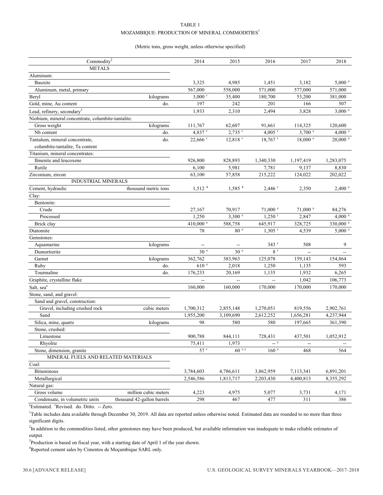#### TABLE 1  $\rm MOZAMBIQUE: PRODUCTION$  OF MINERAL COMMODITIES  $^1$

#### (Metric tons, gross weight, unless otherwise specified)

| Commodity <sup>2</sup>                             |                            | 2014                     | 2015                  | 2016                  | 2017               | 2018       |
|----------------------------------------------------|----------------------------|--------------------------|-----------------------|-----------------------|--------------------|------------|
| <b>METALS</b>                                      |                            |                          |                       |                       |                    |            |
| Aluminum:                                          |                            |                          |                       |                       |                    |            |
| Bauxite                                            |                            | 3,325                    | 4,985                 | 1,451                 | 3,182              | 5,000 °    |
| Aluminum, metal, primary                           |                            | 567,000                  | 558,000               | 571,000               | 577,000            | 571,000    |
| Beryl                                              | kilograms                  | $3,000$ <sup>r</sup>     | 35,400                | 180,700               | 53,200             | 381,000    |
| Gold, mine, Au content                             | do.                        | 197                      | 242                   | 201                   | 166                | 507        |
| Lead, refinery, secondary <sup>3</sup>             |                            | 1,933                    | 2,310                 | 2,494                 | 3,828              | $3,000$ e  |
| Niobium, mineral concentrate, columbite-tantalite: |                            |                          |                       |                       |                    |            |
| Gross weight                                       | kilograms                  | 111,767                  | 62,607                | 91,661                | 114,325            | 120,600    |
| Nb content                                         | do.                        | 4,837 r                  | $2,735$ <sup>r</sup>  | $4,005$ <sup>r</sup>  | $3,700$ $^{\circ}$ | 4,000 °    |
| Tantalum, mineral concentrate,                     | do.                        | $22,666$ <sup>r</sup>    | $12,818$ <sup>r</sup> | $18,767$ <sup>r</sup> | 18,000 °           | $20,000$ e |
| columbite-tantalite, Ta content                    |                            |                          |                       |                       |                    |            |
| Titanium, mineral concentrates:                    |                            |                          |                       |                       |                    |            |
| Ilmenite and leucoxene                             |                            | 926,800                  | 828,893               | 1,340,330             | 1,197,419          | 1,283,075  |
| Rutile                                             |                            | 6,100                    | 5,981                 | 7,781                 | 9,137              | 8,830      |
| Zirconium, zircon                                  |                            | 63,100                   | 57,858                | 215,222               | 124,022            | 202,022    |
| <b>INDUSTRIAL MINERALS</b>                         |                            |                          |                       |                       |                    |            |
| Cement, hydraulic                                  | thousand metric tons       | 1,512 <sup>4</sup>       | $1,585$ <sup>4</sup>  | $2,446$ <sup>r</sup>  | 2,350              | 2,400 °    |
| Clay:                                              |                            |                          |                       |                       |                    |            |
| Bentonite:                                         |                            |                          |                       |                       |                    |            |
| Crude                                              |                            | 27,167                   | 70,917                | $71,000$ $\degree$    | $71,000$ $e$       | 84,276     |
| Processed                                          |                            | 1,250                    | 3,300 e               | $1,250$ <sup>r</sup>  | 2,847              | 4,000 °    |
| Brick clay                                         |                            | 410,000 °                | 588,758               | 645,917               | 328,725            | 330,000 e  |
| Diatomite                                          |                            | 78                       | 80 <sup>e</sup>       | $1,305$ <sup>r</sup>  | 4,539              | 5,000 e    |
| Gemstones:                                         |                            |                          |                       |                       |                    |            |
| Aquamarine                                         | kilograms                  | $\overline{\phantom{a}}$ |                       | $343$ <sup>r</sup>    | 508                | 9          |
| Dumortierite                                       |                            | 30 <sup>e</sup>          | 30 <sup>e</sup>       | 8 <sup>r</sup>        | $\sim$             |            |
| Garnet                                             | kilograms                  | 362,762                  | 383,963               | 125,078               | 159,143            | 154,864    |
| Ruby                                               | do.                        | 610 <sup>e</sup>         | 2,018                 | 1,250                 | 1,135              | 593        |
| Tourmaline                                         | do.                        | 176,233                  | 20,169                | 1,135                 | 1,932              | 6,265      |
| Graphite, crystalline flake                        |                            | $\mathbf{u}$             | $\overline{a}$        | Ξ.                    | 1,042              | 106,773    |
| Salt, sea <sup>e</sup>                             |                            | 160,000                  | 160,000               | 170,000               | 170,000            | 170,000    |
| Stone, sand, and gravel:                           |                            |                          |                       |                       |                    |            |
| Sand and gravel, construction:                     |                            |                          |                       |                       |                    |            |
| Gravel, including crushed rock                     | cubic meters               | 1,700,312                | 2,855,148             | 1,270,051             | 819,556            | 2,902,761  |
| Sand                                               |                            | 1,955,200                | 3,109,690             | 2,612,252             | 1,656,281          | 4,237,944  |
| Silica, mine, quartz                               | kilograms                  | 98                       | 580                   | 580                   | 197,665            | 361,390    |
| Stone, crushed:                                    |                            |                          |                       |                       |                    |            |
| Limestone                                          |                            | 900,788                  | 844,111               | 728,431               | 437,501            | 1,052,912  |
| Rhyolite                                           |                            | 75,411                   | 1,973                 | $-$ e                 |                    |            |
| Stone, dimension, granite                          |                            | $57$ <sup>r</sup>        | $60$ r, e             | $160$ $^{\circ}$      | 468                | 564        |
| MINERAL FUELS AND RELATED MATERIALS                |                            |                          |                       |                       |                    |            |
| Coal:                                              |                            |                          |                       |                       |                    |            |
| Bituminous                                         |                            | 3,784,603                | 4,786,611             | 3,862,959             | 7,113,341          | 6,891,201  |
| Metallurgical                                      |                            | 2,546,586                | 1,813,717             | 2,203,430             | 4,400,813          | 8,355,292  |
| Natural gas:                                       |                            |                          |                       |                       |                    |            |
| Gross volume                                       | million cubic meters       | 4,223                    | 4,975                 | 5,077                 | 3,731              | 4,171      |
| Condensate, in volumetric units                    | thousand 42-gallon barrels | 298                      | 467                   | 477                   | 311                | 386        |
|                                                    |                            |                          |                       |                       |                    |            |

<sup>e</sup>Estimated. <sup>r</sup>Revised. do. Ditto. -- Zero.

<sup>1</sup>Table includes data available through December 30, 2019. All data are reported unless otherwise noted. Estimated data are rounded to no more than three significant digits.

<sup>2</sup>In addition to the commodities listed, other gemstones may have been produced, but available information was inadequate to make reliable estimates of output.

 $3$ Production is based on fiscal year, with a starting date of April 1 of the year shown.

<sup>4</sup>Reported cement sales by Cimentos de Moçambique SARL only.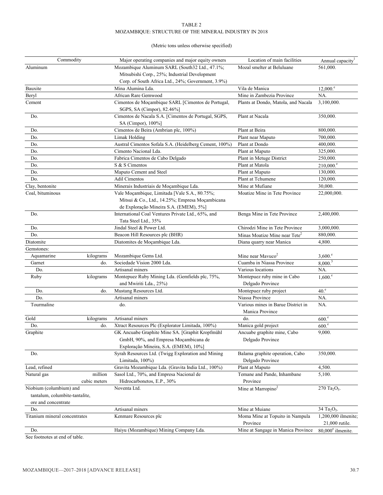#### TABLE 2 MOZAMBIQUE: STRUCTURE OF THE MINERAL INDUSTRY IN 2018

#### (Metric tons unless otherwise specified)

| Commodity                      |              | Major operating companies and major equity owners                                         | Location of main facilities                           | Annual capacity <sup>1</sup>        |  |
|--------------------------------|--------------|-------------------------------------------------------------------------------------------|-------------------------------------------------------|-------------------------------------|--|
| Aluminum                       |              | Mozambique Aluminum SARL (South32 Ltd., 47.1%;                                            | Mozal smelter at Beluluane                            | 561,000.                            |  |
|                                |              | Mitsubishi Corp., 25%; Industrial Development                                             |                                                       |                                     |  |
|                                |              | Corp. of South Africa Ltd., 24%; Government, 3.9%)                                        |                                                       |                                     |  |
| Bauxite                        |              | Mina Alumina Lda.                                                                         | Vila de Manica                                        | 12,000. <sup>e</sup>                |  |
| Beryl                          |              | African Rare Gemwood                                                                      | Mine in Zambezia Province                             | NA.                                 |  |
| Cement                         |              | Cimentos de Moçambique SARL [Cimentos de Portugal,                                        | Plants at Dondo, Matola, and Nacala                   | 3,100,000.                          |  |
|                                |              | SGPS, SA (Cimpor), 82.46%]                                                                |                                                       |                                     |  |
| Do.                            |              | Cimentos de Nacala S.A. [Cimentos de Portugal, SGPS,<br>SA (Cimpor), 100%]                | Plant at Nacala                                       | 350,000.                            |  |
| Do.                            |              | Cimentos de Beira (Ambrian plc, 100%)                                                     | Plant at Beira                                        | 800,000.                            |  |
| Do.                            |              | Limak Holding                                                                             | Plant near Maputo                                     | 700,000.                            |  |
| Do.                            |              | Austral Cimentos Sofala S.A. (Heidelberg Cement, 100%)                                    | Plant at Dondo                                        | 400,000.                            |  |
| Do.                            |              | Cimento Nacional Lda.                                                                     | Plant at Maputo                                       | 325,000.                            |  |
| Do.                            |              | Fabrica Cimentos de Cabo Delgado                                                          | Plant in Metuge District                              | 250,000.                            |  |
| Do.                            |              | S & S Cimentos                                                                            | Plant at Matola                                       | $210,000$ <sup>e</sup>              |  |
| Do.                            |              | Maputo Cement and Steel                                                                   | Plant at Maputo                                       | 130,000.                            |  |
| Do.                            |              | <b>Adil Cimentos</b>                                                                      | Plant at Tchumene                                     | 120,000.                            |  |
| Clay, bentonite                |              | Minerais Industriais de Moçambique Lda.                                                   | Mine at Mufiane                                       | 30,000.                             |  |
| Coal, bituminous               |              | Vale Moçambique, Limitada [Vale S.A., 80.75%;                                             | Moatize Mine in Tete Province                         | 22,000,000.                         |  |
|                                |              | Mitsui & Co., Ltd., 14.25%; Empresa Moçambicana<br>de Exploração Mineira S.A. (EMEM), 5%] |                                                       |                                     |  |
| Do.                            |              | International Coal Ventures Private Ltd., 65%, and<br>Tata Steel Ltd., 35%                | Benga Mine in Tete Province                           | 2,400,000.                          |  |
| Do.                            |              | Jindal Steel & Power Ltd.                                                                 | Chirodzi Mine in Tete Province                        | 3,000,000.                          |  |
| Do.                            |              | Beacon Hill Resources plc (BHR)                                                           | Minas Moatize Mine near Tete <sup>2</sup>             | 880,000.                            |  |
| Diatomite                      |              | Diatomites de Moçambique Lda.                                                             | Diana quarry near Manica                              | 4,800.                              |  |
| Gemstones:                     |              |                                                                                           |                                                       |                                     |  |
| Aquamarine                     | kilograms    | Mozambique Gems Ltd.                                                                      | Mine near Mavuco <sup>2</sup>                         | $3,600$ .                           |  |
| Garnet                         | do.          | Sociedade Vision 2000 Lda.                                                                | Cuamba in Niassa Province                             | 8,000. <sup>3</sup>                 |  |
| Do.                            |              | Artisanal miners                                                                          | Various locations                                     | NA.                                 |  |
| Ruby                           | kilograms    | Montepuez Ruby Mining Lda. (Gemfields plc, 75%,                                           | Montepuez ruby mine in Cabo                           | $1,600.^{\circ}$                    |  |
|                                |              | and Mwiriti Lda., 25%)                                                                    | Delgado Province                                      |                                     |  |
| Do.                            | do.          | Mustang Resources Ltd.                                                                    | Montepuez ruby project                                | 40 <sup>e</sup>                     |  |
| Do.                            |              | Artisanal miners                                                                          | Niassa Province                                       | NA.                                 |  |
| Tourmaline                     |              | do.                                                                                       | Various mines in Barue District in<br>Manica Province | NA.                                 |  |
| Gold                           | kilograms    | Artisanal miners                                                                          | do.                                                   | 600 <sup>e</sup>                    |  |
| Do.                            | do.          | Xtract Resources Plc (Explorator Limitada, 100%)                                          | Manica gold project                                   | 600 <sup>e</sup>                    |  |
| Graphite                       |              | GK Ancuabe Graphite Mine SA. [Graphit Kropfmühl                                           | Ancuabe graphite mine, Cabo                           | 9,000.                              |  |
|                                |              | GmbH, 90%, and Empresa Moçambicana de                                                     | Delgado Province                                      |                                     |  |
|                                |              | Exploração Mineira, S.A. (EMEM), 10%]                                                     |                                                       |                                     |  |
| Do.                            |              | Syrah Resources Ltd. (Twigg Exploration and Mining                                        | Balama graphite operation, Cabo                       | 350,000.                            |  |
|                                |              | Limitada, 100%)                                                                           | Delgado Province                                      |                                     |  |
| Lead, refined                  |              | Gravita Mozambique Lda. (Gravita India Ltd., 100%)                                        | Plant at Maputo                                       | 4,500.                              |  |
| Natural gas                    | million      | Sasol Ltd., 70%, and Empresa Nacional de                                                  | Temane and Pande, Inhambane                           | 5,100.                              |  |
|                                | cubic meters | Hidrocarbonetos, E.P., 30%                                                                | Province                                              |                                     |  |
| Niobium (columbium) and        |              | Noventa Ltd.                                                                              | Mine at Marropino <sup>2</sup>                        | $270 \text{ Ta}_2\text{O}_5.$       |  |
| tantalum, columbite-tantalite, |              |                                                                                           |                                                       |                                     |  |
| ore and concentrate            |              |                                                                                           |                                                       |                                     |  |
| Do.                            |              | Artisanal miners                                                                          | Mine at Muiane                                        | 34 Ta <sub>2</sub> O <sub>5</sub> . |  |
| Titanium mineral concentrates  |              | Kenmare Resources plc                                                                     | Moma Mine at Topuito in Nampula                       | 1,200,000 ilmenite;                 |  |
|                                |              |                                                                                           | Province                                              | 21,000 rutile.                      |  |
| Do.                            |              | Haiyu (Mozambique) Mining Company Lda.                                                    | Mine at Sangage in Manica Province                    | $80,000^{\circ}$ ilmenite.          |  |

See footnotes at end of table.